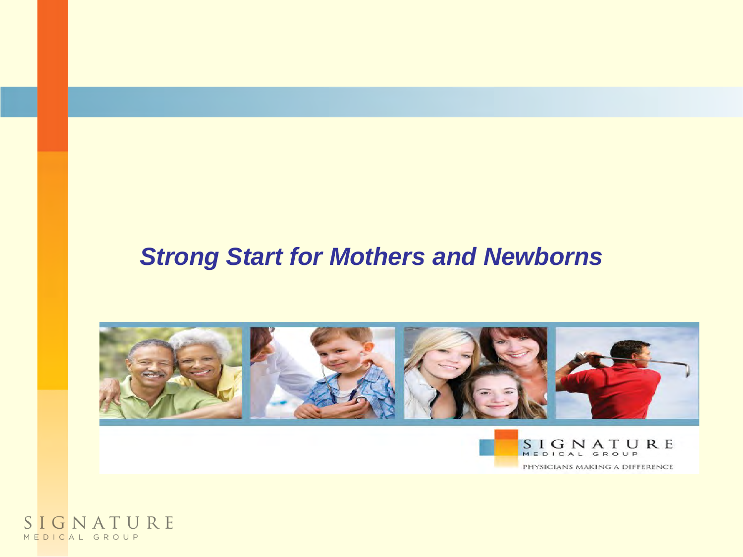#### *Strong Start for Mothers and Newborns*



SIGNATURE MEDICAL GROUP PHYSICIANS MAKING A DIFFERENCE

SIGNATURE MEDICAL GROUP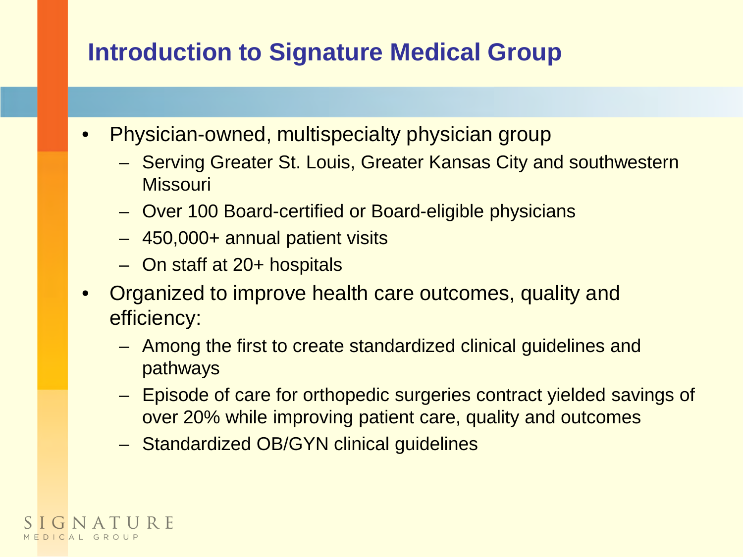#### **Introduction to Signature Medical Group**

- Physician-owned, multispecialty physician group
	- Serving Greater St. Louis, Greater Kansas City and southwestern **Missouri**
	- Over 100 Board-certified or Board-eligible physicians
	- 450,000+ annual patient visits
	- On staff at 20+ hospitals
- Organized to improve health care outcomes, quality and efficiency:
	- Among the first to create standardized clinical guidelines and pathways
	- Episode of care for orthopedic surgeries contract yielded savings of over 20% while improving patient care, quality and outcomes
	- Standardized OB/GYN clinical guidelines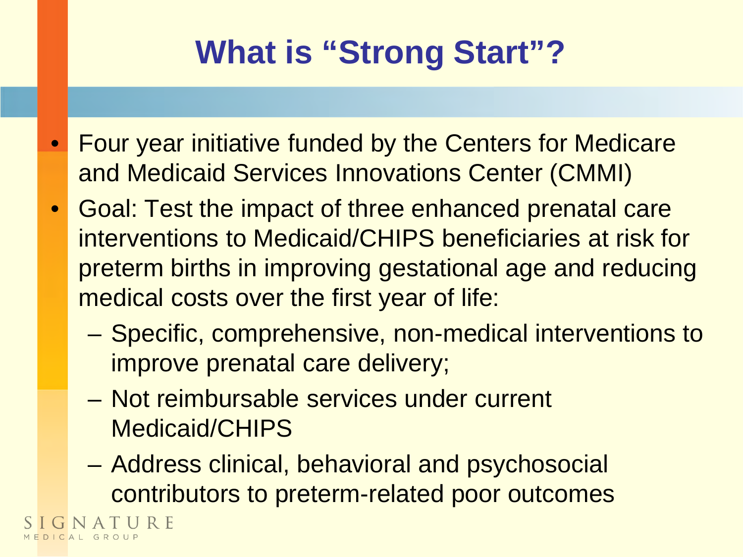## **What is "Strong Start"?**

- Four year initiative funded by the Centers for Medicare and Medicaid Services Innovations Center (CMMI)
- Goal: Test the impact of three enhanced prenatal care interventions to Medicaid/CHIPS beneficiaries at risk for preterm births in improving gestational age and reducing medical costs over the first year of life:
	- Specific, comprehensive, non-medical interventions to improve prenatal care delivery;
	- Not reimbursable services under current Medicaid/CHIPS
	- Address clinical, behavioral and psychosocial contributors to preterm-related poor outcomes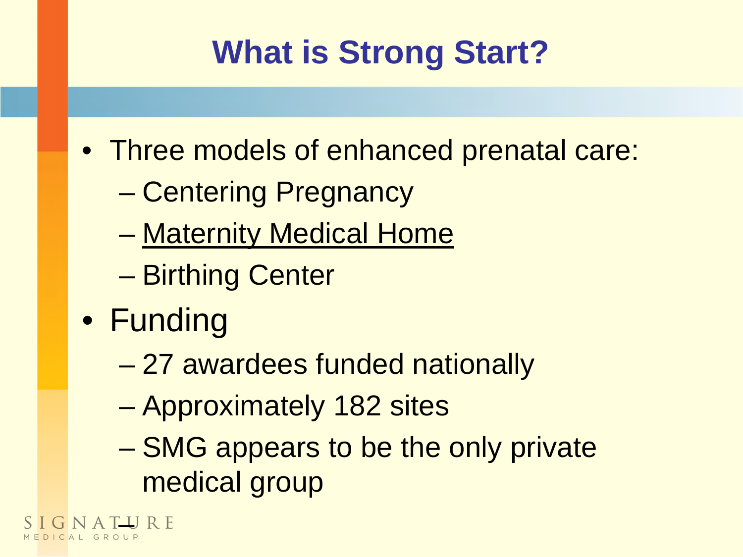## **What is Strong Start?**

- Three models of enhanced prenatal care:
	- Centering Pregnancy
	- Maternity Medical Home
	- Birthing Center
- Funding

A T **I** J R E

- 27 awardees funded nationally
- Approximately 182 sites
- SMG appears to be the only private medical group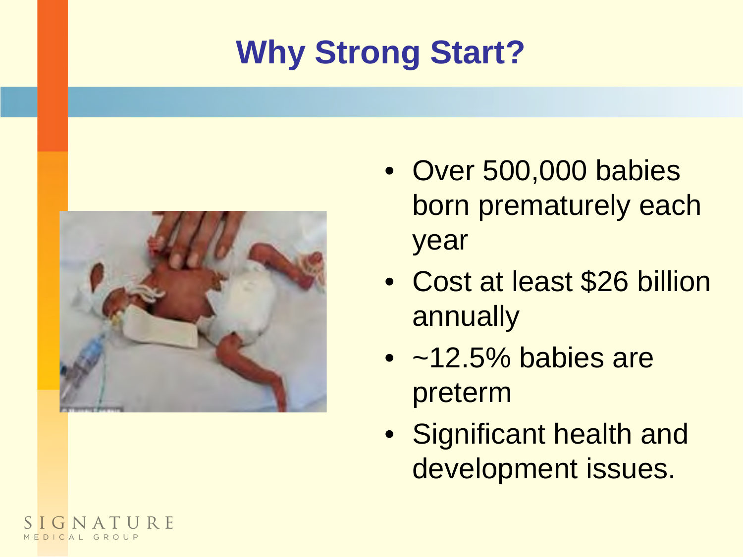# **Why Strong Start?**



- Over 500,000 babies born prematurely each year
- Cost at least \$26 billion annually
- $\bullet$  ~12.5% babies are preterm
- Significant health and development issues.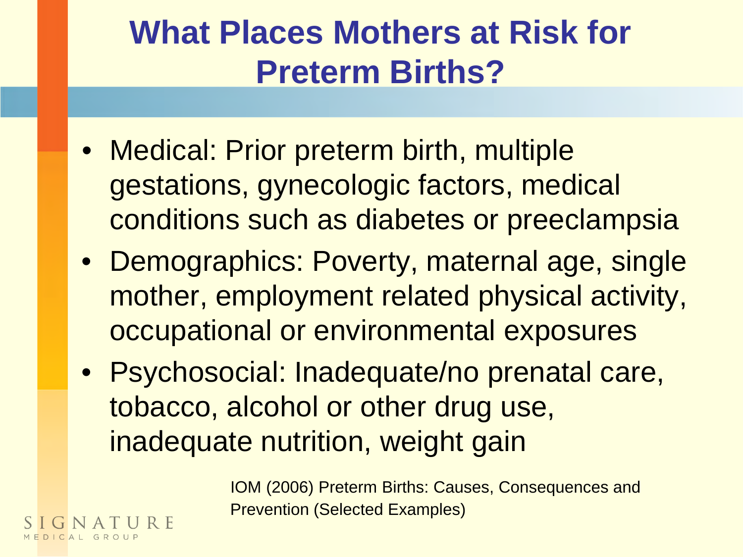#### **What Places Mothers at Risk for Preterm Births?**

- Medical: Prior preterm birth, multiple gestations, gynecologic factors, medical conditions such as diabetes or preeclampsia
- Demographics: Poverty, maternal age, single mother, employment related physical activity, occupational or environmental exposures
- Psychosocial: Inadequate/no prenatal care, tobacco, alcohol or other drug use, inadequate nutrition, weight gain

 IOM (2006) Preterm Births: Causes, Consequences and Prevention (Selected Examples)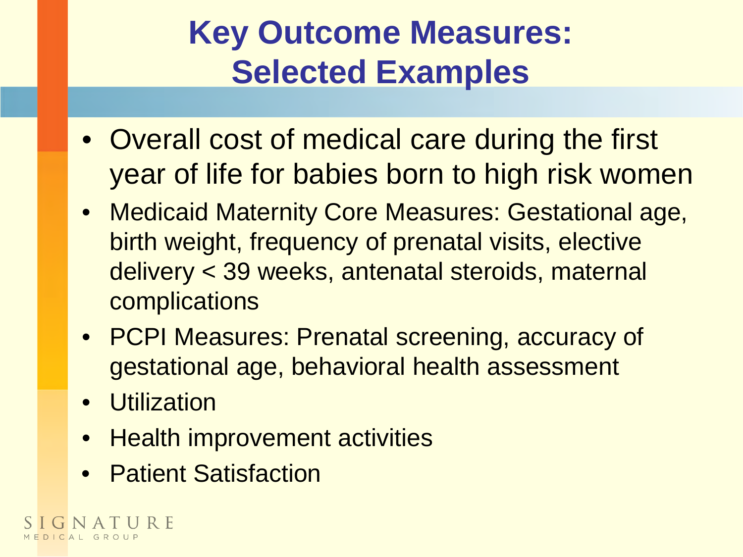#### **Key Outcome Measures: Selected Examples**

- Overall cost of medical care during the first year of life for babies born to high risk women
- Medicaid Maternity Core Measures: Gestational age, birth weight, frequency of prenatal visits, elective delivery < 39 weeks, antenatal steroids, maternal complications
- PCPI Measures: Prenatal screening, accuracy of gestational age, behavioral health assessment
- Utilization
- Health improvement activities
- Patient Satisfaction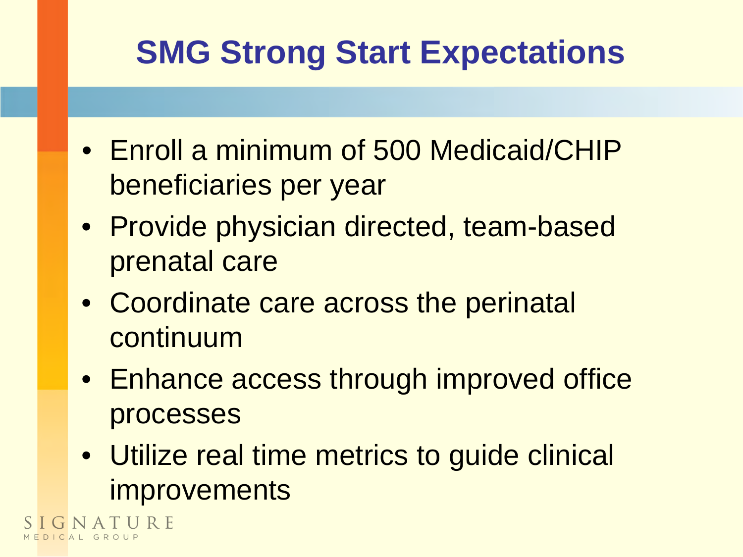## **SMG Strong Start Expectations**

- Enroll a minimum of 500 Medicaid/CHIP beneficiaries per year
- Provide physician directed, team-based prenatal care
- Coordinate care across the perinatal continuum
- Enhance access through improved office processes
- Utilize real time metrics to guide clinical **improvements**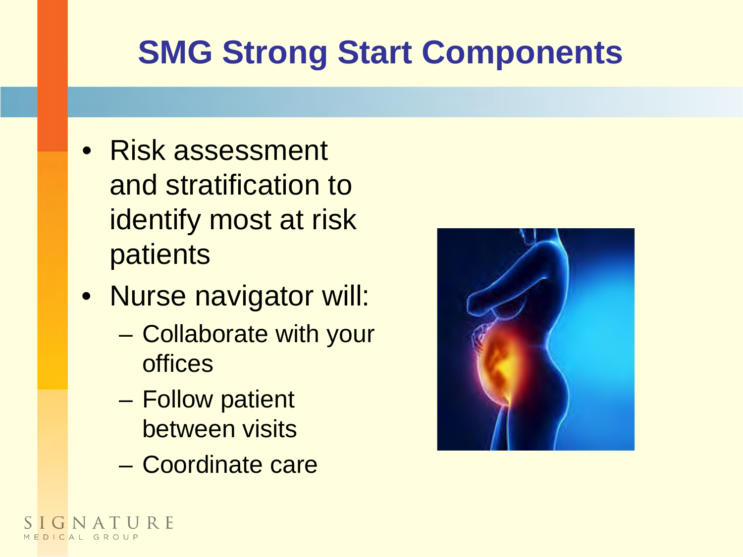## **SMG Strong Start Components**

- Risk assessment and stratification to identify most at risk patients
- Nurse navigator will:
	- Collaborate with your offices
	- Follow patient between visits
	- Coordinate care



URF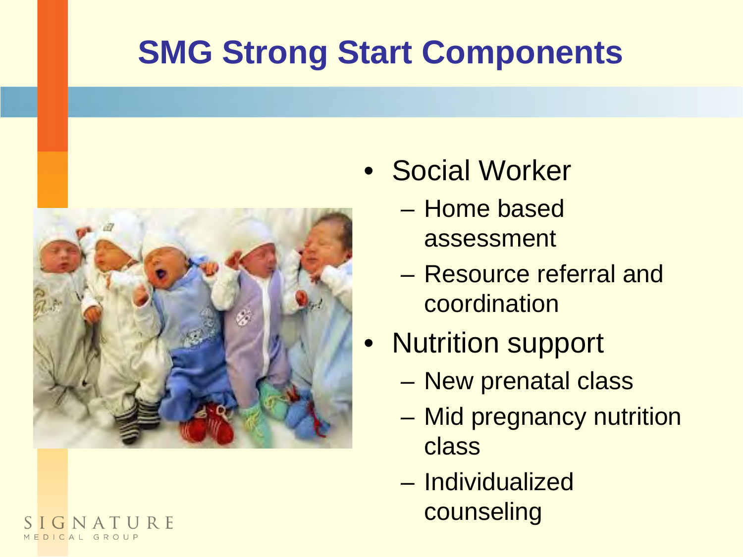## **SMG Strong Start Components**



- Social Worker
	- Home based assessment
	- Resource referral and coordination
- Nutrition support
	- New prenatal class
	- Mid pregnancy nutrition class
	- Individualized counseling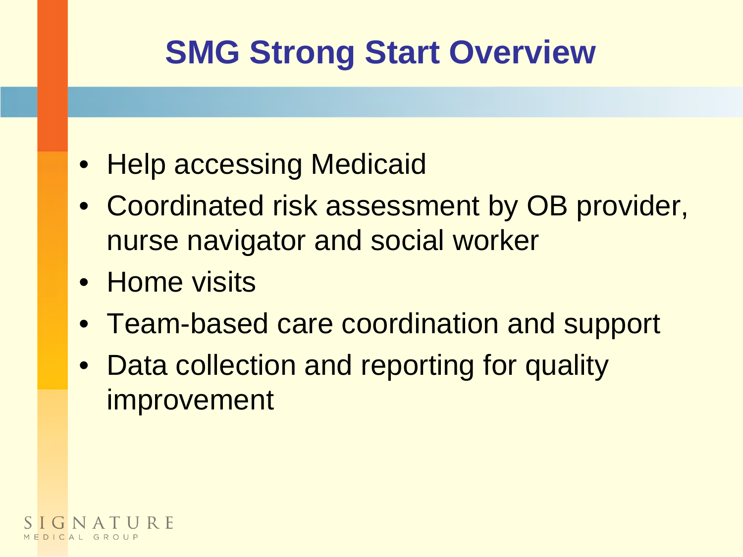## **SMG Strong Start Overview**

- Help accessing Medicaid
- Coordinated risk assessment by OB provider, nurse navigator and social worker
- Home visits
- Team-based care coordination and support
- Data collection and reporting for quality improvement

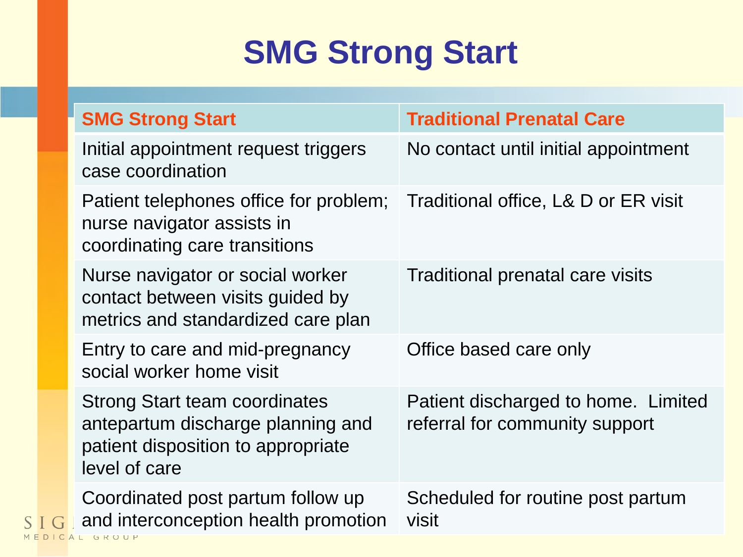#### **SMG Strong Start**

| <b>SMG Strong Start</b>                                                                                                                    | <b>Traditional Prenatal Care</b>                                      |
|--------------------------------------------------------------------------------------------------------------------------------------------|-----------------------------------------------------------------------|
| Initial appointment request triggers<br>case coordination                                                                                  | No contact until initial appointment                                  |
| Patient telephones office for problem; Traditional office, L& D or ER visit<br>nurse navigator assists in<br>coordinating care transitions |                                                                       |
| Nurse navigator or social worker<br>contact between visits guided by<br>metrics and standardized care plan                                 | Traditional prenatal care visits                                      |
| Entry to care and mid-pregnancy<br>social worker home visit                                                                                | Office based care only                                                |
| <b>Strong Start team coordinates</b><br>antepartum discharge planning and<br>patient disposition to appropriate<br>level of care           | Patient discharged to home. Limited<br>referral for community support |
| Coordinated post partum follow up<br>and interconception health promotion<br>AL GROUP                                                      | Scheduled for routine post partum<br>visit                            |

M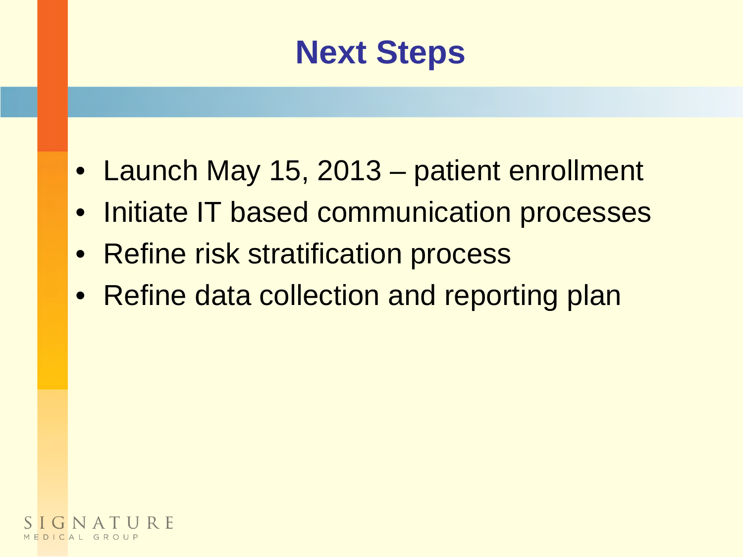#### **Next Steps**

- Launch May 15, 2013 patient enrollment
- Initiate IT based communication processes
- Refine risk stratification process
- Refine data collection and reporting plan